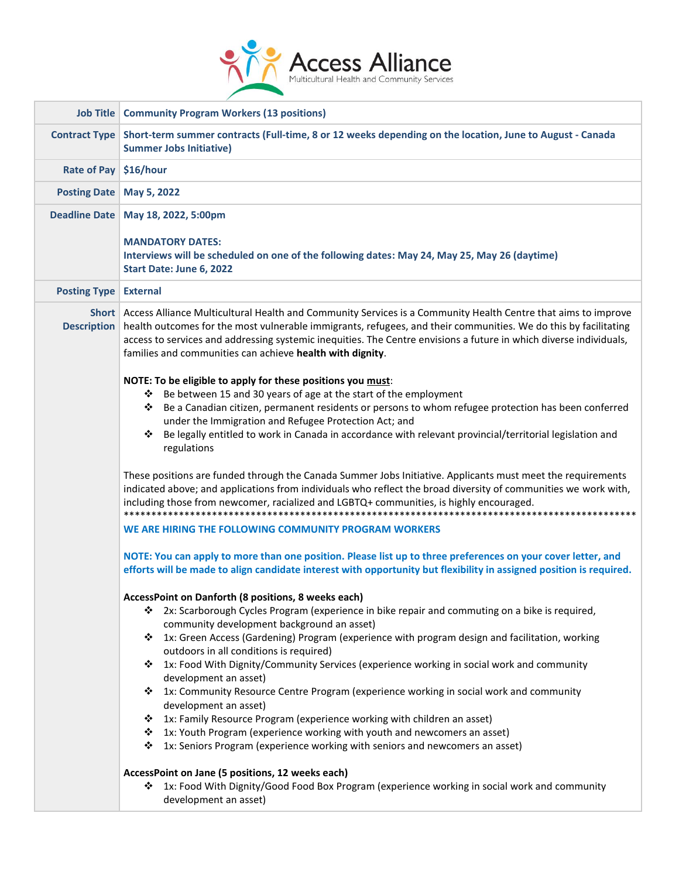

|                                | <b>Job Title   Community Program Workers (13 positions)</b>                                                                                                                                                                                                                                                                                                                                                               |
|--------------------------------|---------------------------------------------------------------------------------------------------------------------------------------------------------------------------------------------------------------------------------------------------------------------------------------------------------------------------------------------------------------------------------------------------------------------------|
| <b>Contract Type</b>           | Short-term summer contracts (Full-time, 8 or 12 weeks depending on the location, June to August - Canada<br><b>Summer Jobs Initiative)</b>                                                                                                                                                                                                                                                                                |
| Rate of Pay                    | \$16/hour                                                                                                                                                                                                                                                                                                                                                                                                                 |
| <b>Posting Date</b>            | May 5, 2022                                                                                                                                                                                                                                                                                                                                                                                                               |
|                                | Deadline Date   May 18, 2022, 5:00pm<br><b>MANDATORY DATES:</b><br>Interviews will be scheduled on one of the following dates: May 24, May 25, May 26 (daytime)<br>Start Date: June 6, 2022                                                                                                                                                                                                                               |
| <b>Posting Type   External</b> |                                                                                                                                                                                                                                                                                                                                                                                                                           |
| <b>Description</b>             | Short Access Alliance Multicultural Health and Community Services is a Community Health Centre that aims to improve<br>health outcomes for the most vulnerable immigrants, refugees, and their communities. We do this by facilitating<br>access to services and addressing systemic inequities. The Centre envisions a future in which diverse individuals,<br>families and communities can achieve health with dignity. |
|                                | NOTE: To be eligible to apply for these positions you must:                                                                                                                                                                                                                                                                                                                                                               |
|                                | Be between 15 and 30 years of age at the start of the employment<br>❖                                                                                                                                                                                                                                                                                                                                                     |
|                                | Be a Canadian citizen, permanent residents or persons to whom refugee protection has been conferred<br>❖                                                                                                                                                                                                                                                                                                                  |
|                                | under the Immigration and Refugee Protection Act; and                                                                                                                                                                                                                                                                                                                                                                     |
|                                | Be legally entitled to work in Canada in accordance with relevant provincial/territorial legislation and<br>❖<br>regulations                                                                                                                                                                                                                                                                                              |
|                                | These positions are funded through the Canada Summer Jobs Initiative. Applicants must meet the requirements<br>indicated above; and applications from individuals who reflect the broad diversity of communities we work with,<br>including those from newcomer, racialized and LGBTQ+ communities, is highly encouraged.                                                                                                 |
|                                | WE ARE HIRING THE FOLLOWING COMMUNITY PROGRAM WORKERS                                                                                                                                                                                                                                                                                                                                                                     |
|                                | NOTE: You can apply to more than one position. Please list up to three preferences on your cover letter, and<br>efforts will be made to align candidate interest with opportunity but flexibility in assigned position is required.                                                                                                                                                                                       |
|                                | AccessPoint on Danforth (8 positions, 8 weeks each)                                                                                                                                                                                                                                                                                                                                                                       |
|                                | 2x: Scarborough Cycles Program (experience in bike repair and commuting on a bike is required,<br>❖<br>community development background an asset)                                                                                                                                                                                                                                                                         |
|                                | 1x: Green Access (Gardening) Program (experience with program design and facilitation, working<br>❖<br>outdoors in all conditions is required)                                                                                                                                                                                                                                                                            |
|                                | 1x: Food With Dignity/Community Services (experience working in social work and community<br>❖<br>development an asset)                                                                                                                                                                                                                                                                                                   |
|                                | 1x: Community Resource Centre Program (experience working in social work and community<br>❖<br>development an asset)                                                                                                                                                                                                                                                                                                      |
|                                | 1x: Family Resource Program (experience working with children an asset)<br>❖                                                                                                                                                                                                                                                                                                                                              |
|                                | 1x: Youth Program (experience working with youth and newcomers an asset)<br>❖                                                                                                                                                                                                                                                                                                                                             |
|                                | 1x: Seniors Program (experience working with seniors and newcomers an asset)<br>❖                                                                                                                                                                                                                                                                                                                                         |
|                                | AccessPoint on Jane (5 positions, 12 weeks each)<br>1x: Food With Dignity/Good Food Box Program (experience working in social work and community<br>❖<br>development an asset)                                                                                                                                                                                                                                            |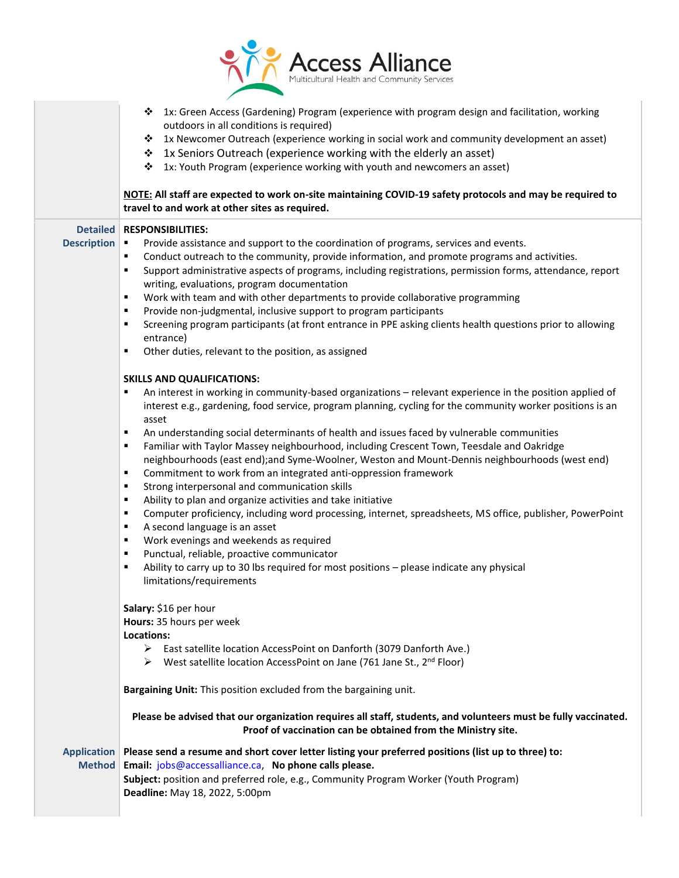

|                                       | 1x: Green Access (Gardening) Program (experience with program design and facilitation, working<br>❖<br>outdoors in all conditions is required)<br>1x Newcomer Outreach (experience working in social work and community development an asset)<br>❖<br>1x Seniors Outreach (experience working with the elderly an asset)<br>❖<br>1x: Youth Program (experience working with youth and newcomers an asset)<br>❖<br>NOTE: All staff are expected to work on-site maintaining COVID-19 safety protocols and may be required to<br>travel to and work at other sites as required.                                                                                                                                                                                                                                                                                                                                                                                                                                                                                                                                                                                                                                                                                                                                                                                                                                                                                                                                                                                                                                                                                                                                                                                                                                                                                                                                                                                             |
|---------------------------------------|---------------------------------------------------------------------------------------------------------------------------------------------------------------------------------------------------------------------------------------------------------------------------------------------------------------------------------------------------------------------------------------------------------------------------------------------------------------------------------------------------------------------------------------------------------------------------------------------------------------------------------------------------------------------------------------------------------------------------------------------------------------------------------------------------------------------------------------------------------------------------------------------------------------------------------------------------------------------------------------------------------------------------------------------------------------------------------------------------------------------------------------------------------------------------------------------------------------------------------------------------------------------------------------------------------------------------------------------------------------------------------------------------------------------------------------------------------------------------------------------------------------------------------------------------------------------------------------------------------------------------------------------------------------------------------------------------------------------------------------------------------------------------------------------------------------------------------------------------------------------------------------------------------------------------------------------------------------------------|
| <b>Detailed</b><br><b>Description</b> | <b>RESPONSIBILITIES:</b><br>Provide assistance and support to the coordination of programs, services and events.<br>$\blacksquare$<br>Conduct outreach to the community, provide information, and promote programs and activities.<br>٠<br>Support administrative aspects of programs, including registrations, permission forms, attendance, report<br>٠<br>writing, evaluations, program documentation<br>Work with team and with other departments to provide collaborative programming<br>٠<br>Provide non-judgmental, inclusive support to program participants<br>٠<br>Screening program participants (at front entrance in PPE asking clients health questions prior to allowing<br>٠<br>entrance)<br>Other duties, relevant to the position, as assigned<br>٠<br><b>SKILLS AND QUALIFICATIONS:</b><br>An interest in working in community-based organizations - relevant experience in the position applied of<br>٠<br>interest e.g., gardening, food service, program planning, cycling for the community worker positions is an<br>asset<br>An understanding social determinants of health and issues faced by vulnerable communities<br>٠<br>Familiar with Taylor Massey neighbourhood, including Crescent Town, Teesdale and Oakridge<br>٠<br>neighbourhoods (east end);and Syme-Woolner, Weston and Mount-Dennis neighbourhoods (west end)<br>Commitment to work from an integrated anti-oppression framework<br>٠<br>Strong interpersonal and communication skills<br>٠<br>Ability to plan and organize activities and take initiative<br>٠<br>Computer proficiency, including word processing, internet, spreadsheets, MS office, publisher, PowerPoint<br>٠<br>A second language is an asset<br>٠<br>Work evenings and weekends as required<br>٠<br>Punctual, reliable, proactive communicator<br>٠<br>Ability to carry up to 30 lbs required for most positions - please indicate any physical<br>٠<br>limitations/requirements<br>Salary: \$16 per hour |
|                                       | Hours: 35 hours per week<br>Locations:<br>> East satellite location AccessPoint on Danforth (3079 Danforth Ave.)<br>West satellite location AccessPoint on Jane (761 Jane St., 2 <sup>nd</sup> Floor)<br>➤                                                                                                                                                                                                                                                                                                                                                                                                                                                                                                                                                                                                                                                                                                                                                                                                                                                                                                                                                                                                                                                                                                                                                                                                                                                                                                                                                                                                                                                                                                                                                                                                                                                                                                                                                                |
|                                       | Bargaining Unit: This position excluded from the bargaining unit.<br>Please be advised that our organization requires all staff, students, and volunteers must be fully vaccinated.                                                                                                                                                                                                                                                                                                                                                                                                                                                                                                                                                                                                                                                                                                                                                                                                                                                                                                                                                                                                                                                                                                                                                                                                                                                                                                                                                                                                                                                                                                                                                                                                                                                                                                                                                                                       |
|                                       | Proof of vaccination can be obtained from the Ministry site.                                                                                                                                                                                                                                                                                                                                                                                                                                                                                                                                                                                                                                                                                                                                                                                                                                                                                                                                                                                                                                                                                                                                                                                                                                                                                                                                                                                                                                                                                                                                                                                                                                                                                                                                                                                                                                                                                                              |
| <b>Application</b><br><b>Method</b>   | Please send a resume and short cover letter listing your preferred positions (list up to three) to:<br>Email: jobs@accessalliance.ca, No phone calls please.<br>Subject: position and preferred role, e.g., Community Program Worker (Youth Program)<br>Deadline: May 18, 2022, 5:00pm                                                                                                                                                                                                                                                                                                                                                                                                                                                                                                                                                                                                                                                                                                                                                                                                                                                                                                                                                                                                                                                                                                                                                                                                                                                                                                                                                                                                                                                                                                                                                                                                                                                                                    |